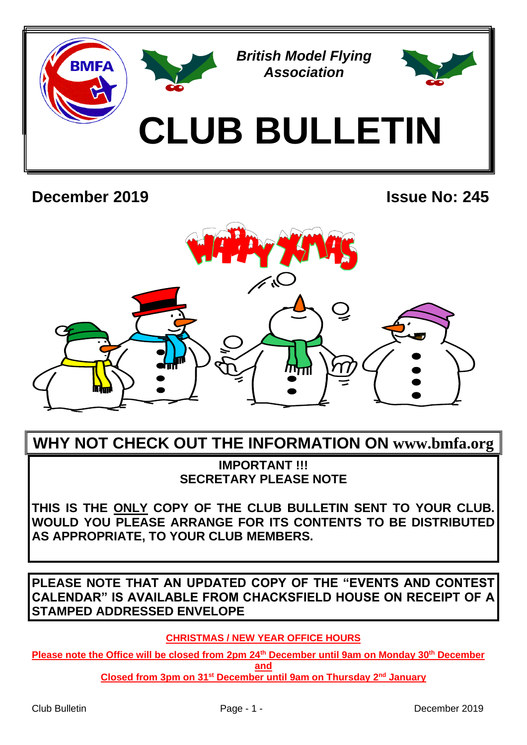

# **December 2019 Issue No: 245**



# **WHY NOT CHECK OUT THE INFORMATION ON www.bmfa.org**

**IMPORTANT !!! SECRETARY PLEASE NOTE**

**THIS IS THE ONLY COPY OF THE CLUB BULLETIN SENT TO YOUR CLUB. WOULD YOU PLEASE ARRANGE FOR ITS CONTENTS TO BE DISTRIBUTED AS APPROPRIATE, TO YOUR CLUB MEMBERS.**

**PLEASE NOTE THAT AN UPDATED COPY OF THE "EVENTS AND CONTEST CALENDAR" IS AVAILABLE FROM CHACKSFIELD HOUSE ON RECEIPT OF A STAMPED ADDRESSED ENVELOPE**

**CHRISTMAS / NEW YEAR OFFICE HOURS**

**Please note the Office will be closed from 2pm 24th December until 9am on Monday 30th December and**

**Closed from 3pm on 31st December until 9am on Thursday 2 nd January**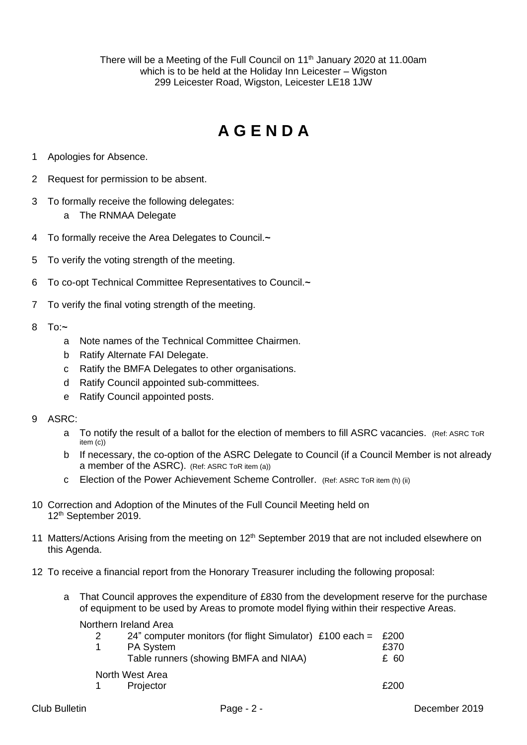There will be a Meeting of the Full Council on 11<sup>th</sup> January 2020 at 11.00am which is to be held at the Holiday Inn Leicester – Wigston 299 Leicester Road, Wigston, Leicester LE18 1JW

# **A G E N D A**

- 1 Apologies for Absence.
- 2 Request for permission to be absent.
- 3 To formally receive the following delegates:
	- a The RNMAA Delegate
- 4 To formally receive the Area Delegates to Council.**~**
- 5 To verify the voting strength of the meeting.
- 6 To co-opt Technical Committee Representatives to Council.**~**
- 7 To verify the final voting strength of the meeting.
- 8 To:**~**
	- a Note names of the Technical Committee Chairmen.
	- b Ratify Alternate FAI Delegate.
	- c Ratify the BMFA Delegates to other organisations.
	- d Ratify Council appointed sub-committees.
	- e Ratify Council appointed posts.
- 9 ASRC:
	- a To notify the result of a ballot for the election of members to fill ASRC vacancies. (Ref: ASRC ToR item (c))
	- b If necessary, the co-option of the ASRC Delegate to Council (if a Council Member is not already a member of the ASRC). (Ref: ASRC ToR item (a))
	- c Election of the Power Achievement Scheme Controller. (Ref: ASRC ToR item (h) (ii)
- 10 Correction and Adoption of the Minutes of the Full Council Meeting held on 12 th September 2019.
- 11 Matters/Actions Arising from the meeting on  $12<sup>th</sup>$  September 2019 that are not included elsewhere on this Agenda.
- 12 To receive a financial report from the Honorary Treasurer including the following proposal:
	- a That Council approves the expenditure of £830 from the development reserve for the purchase of equipment to be used by Areas to promote model flying within their respective Areas.

Northern Ireland Area

| 2               | 24" computer monitors (for flight Simulator) £100 each = £200 |      |
|-----------------|---------------------------------------------------------------|------|
|                 | <b>PA System</b>                                              | £370 |
|                 | Table runners (showing BMFA and NIAA)                         | £ 60 |
| North West Area |                                                               |      |
|                 | Projector                                                     | £200 |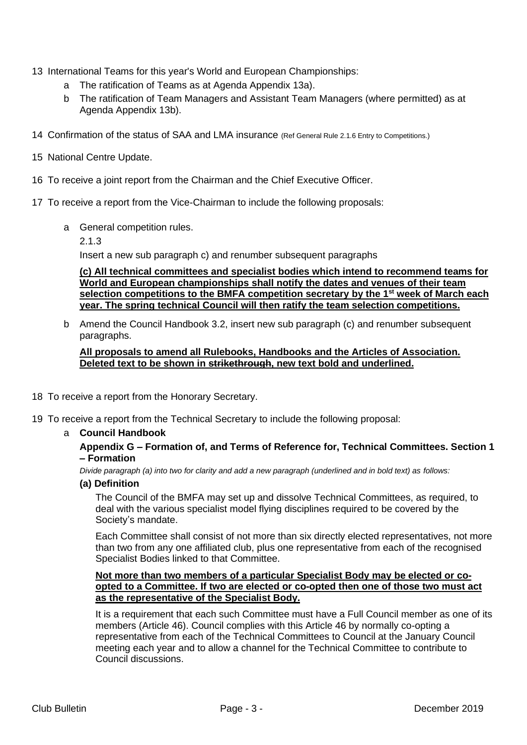- 13 International Teams for this year's World and European Championships:
	- a The ratification of Teams as at Agenda Appendix 13a).
	- b The ratification of Team Managers and Assistant Team Managers (where permitted) as at Agenda Appendix 13b).
- 14 Confirmation of the status of SAA and LMA insurance (Ref General Rule 2.1.6 Entry to Competitions.)
- 15 National Centre Update.
- 16 To receive a joint report from the Chairman and the Chief Executive Officer.
- 17 To receive a report from the Vice-Chairman to include the following proposals:
	- a General competition rules.
		- 2.1.3

Insert a new sub paragraph c) and renumber subsequent paragraphs

**(c) All technical committees and specialist bodies which intend to recommend teams for World and European championships shall notify the dates and venues of their team selection competitions to the BMFA competition secretary by the 1st week of March each year. The spring technical Council will then ratify the team selection competitions.**

b Amend the Council Handbook 3.2, insert new sub paragraph (c) and renumber subsequent paragraphs.

### **All proposals to amend all Rulebooks, Handbooks and the Articles of Association. Deleted text to be shown in strikethrough, new text bold and underlined.**

- 18 To receive a report from the Honorary Secretary.
- 19 To receive a report from the Technical Secretary to include the following proposal:
	- a **Council Handbook**

### **Appendix G – Formation of, and Terms of Reference for, Technical Committees. Section 1 – Formation**

*Divide paragraph (a) into two for clarity and add a new paragraph (underlined and in bold text) as follows:*

**(a) Definition**

The Council of the BMFA may set up and dissolve Technical Committees, as required, to deal with the various specialist model flying disciplines required to be covered by the Society's mandate.

Each Committee shall consist of not more than six directly elected representatives, not more than two from any one affiliated club, plus one representative from each of the recognised Specialist Bodies linked to that Committee.

### **Not more than two members of a particular Specialist Body may be elected or coopted to a Committee. If two are elected or co-opted then one of those two must act as the representative of the Specialist Body.**

It is a requirement that each such Committee must have a Full Council member as one of its members (Article 46). Council complies with this Article 46 by normally co-opting a representative from each of the Technical Committees to Council at the January Council meeting each year and to allow a channel for the Technical Committee to contribute to Council discussions.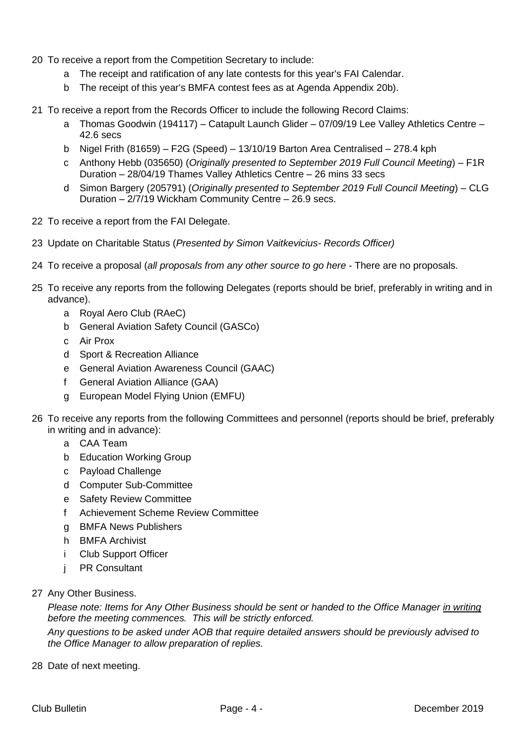- 20 To receive a report from the Competition Secretary to include:
	- a The receipt and ratification of any late contests for this year's FAI Calendar.
	- b The receipt of this year's BMFA contest fees as at Agenda Appendix 20b).
- 21 To receive a report from the Records Officer to include the following Record Claims:
	- a Thomas Goodwin (194117) Catapult Launch Glider 07/09/19 Lee Valley Athletics Centre 42.6 secs
	- b Nigel Frith (81659) F2G (Speed) 13/10/19 Barton Area Centralised 278.4 kph
	- c Anthony Hebb (035650) (*Originally presented to September 2019 Full Council Meeting*) F1R Duration – 28/04/19 Thames Valley Athletics Centre – 26 mins 33 secs
	- d Simon Bargery (205791) (*Originally presented to September 2019 Full Council Meeting*) CLG Duration – 2/7/19 Wickham Community Centre – 26.9 secs.
- 22 To receive a report from the FAI Delegate.
- 23 Update on Charitable Status (*Presented by Simon Vaitkevicius- Records Officer)*
- 24 To receive a proposal (*all proposals from any other source to go here* There are no proposals.
- 25 To receive any reports from the following Delegates (reports should be brief, preferably in writing and in advance).
	- a Royal Aero Club (RAeC)
	- b General Aviation Safety Council (GASCo)
	- c Air Prox
	- d Sport & Recreation Alliance
	- e General Aviation Awareness Council (GAAC)
	- f General Aviation Alliance (GAA)
	- g European Model Flying Union (EMFU)
- 26 To receive any reports from the following Committees and personnel (reports should be brief, preferably in writing and in advance):
	- a CAA Team
	- b Education Working Group
	- c Payload Challenge
	- d Computer Sub-Committee
	- e Safety Review Committee
	- f Achievement Scheme Review Committee
	- g BMFA News Publishers
	- h BMFA Archivist
	- i Club Support Officer
	- j PR Consultant
- 27 Any Other Business.

*Please note: Items for Any Other Business should be sent or handed to the Office Manager in writing before the meeting commences. This will be strictly enforced.*

*Any questions to be asked under AOB that require detailed answers should be previously advised to the Office Manager to allow preparation of replies.*

28 Date of next meeting.